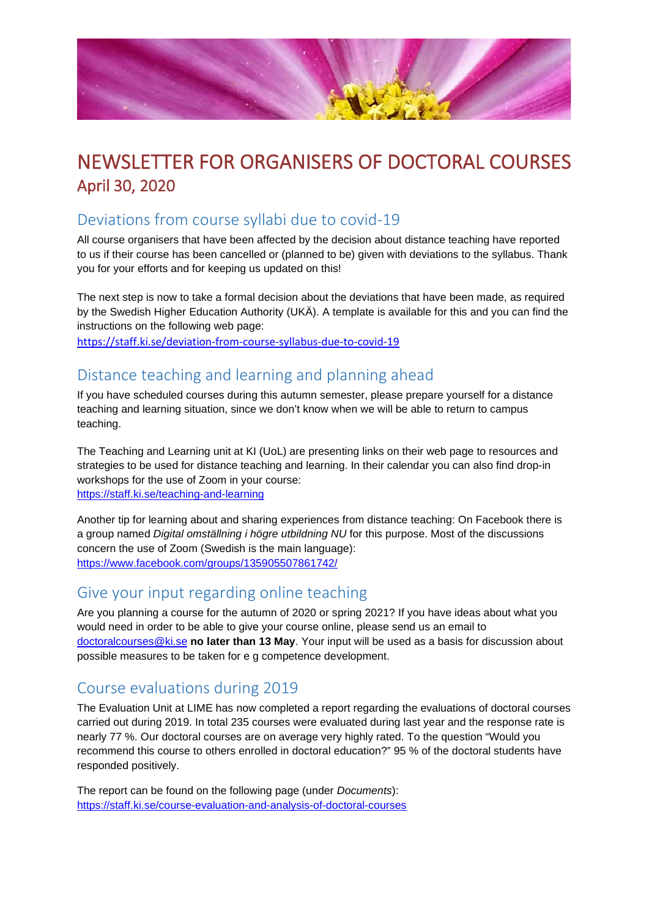

# NEWSLETTER FOR ORGANISERS OF DOCTORAL COURSES April 30, 2020

#### Deviations from course syllabi due to covid-19

All course organisers that have been affected by the decision about distance teaching have reported to us if their course has been cancelled or (planned to be) given with deviations to the syllabus. Thank you for your efforts and for keeping us updated on this!

The next step is now to take a formal decision about the deviations that have been made, as required by the Swedish Higher Education Authority (UKÄ). A template is available for this and you can find the instructions on the following web page:

<https://staff.ki.se/deviation-from-course-syllabus-due-to-covid-19>

#### Distance teaching and learning and planning ahead

If you have scheduled courses during this autumn semester, please prepare yourself for a distance teaching and learning situation, since we don't know when we will be able to return to campus teaching.

The Teaching and Learning unit at KI (UoL) are presenting links on their web page to resources and strategies to be used for distance teaching and learning. In their calendar you can also find drop-in workshops for the use of Zoom in your course: <https://staff.ki.se/teaching-and-learning>

Another tip for learning about and sharing experiences from distance teaching: On Facebook there is a group named *Digital omställning i högre utbildning NU* for this purpose. Most of the discussions concern the use of Zoom (Swedish is the main language): <https://www.facebook.com/groups/135905507861742/>

#### Give your input regarding online teaching

Are you planning a course for the autumn of 2020 or spring 2021? If you have ideas about what you would need in order to be able to give your course online, please send us an email to [doctoralcourses@ki.se](mailto:doctoralcourses@ki.se) **no later than 13 May**. Your input will be used as a basis for discussion about possible measures to be taken for e g competence development.

### Course evaluations during 2019

The Evaluation Unit at LIME has now completed a report regarding the evaluations of doctoral courses carried out during 2019. In total 235 courses were evaluated during last year and the response rate is nearly 77 %. Our doctoral courses are on average very highly rated. To the question "Would you recommend this course to others enrolled in doctoral education?" 95 % of the doctoral students have responded positively.

The report can be found on the following page (under *Documents*): <https://staff.ki.se/course-evaluation-and-analysis-of-doctoral-courses>